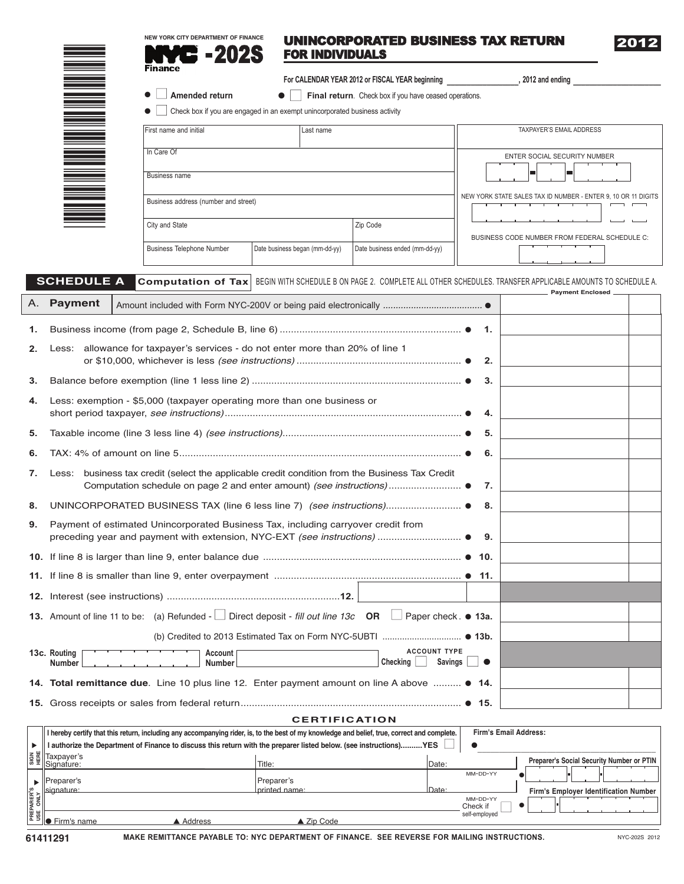## UNINCORPORATED BUSINESS TAX RETURN 2S FOR INDIVIDUALS

2012

|  | <b>∃ Amended return</b> |  |
|--|-------------------------|--|

**Finance** 

<u>222 – 22</u> 91\*

**For CALENDAR YEAR 2012 or FISCAL YEAR beginning \_\_\_\_\_\_\_\_\_\_\_\_\_\_\_\_\_\_, 2012 and ending \_\_\_\_\_\_\_\_\_\_\_\_\_\_\_\_\_\_\_\_\_\_**

**• Final return**. Check box if you have ceased operations.

**NEW YORK CITY DEPARTMENT OF FINANCE**

● ■ Check box if you are engaged in an exempt unincorporated business activity

| First name and initial               | Last name                      |                                | TAXPAYER'S EMAIL ADDRESS                                      |
|--------------------------------------|--------------------------------|--------------------------------|---------------------------------------------------------------|
| In Care Of                           |                                |                                | <b>ENTER SOCIAL SECURITY NUMBER</b>                           |
| <b>Business name</b>                 |                                |                                |                                                               |
| Business address (number and street) |                                |                                | NEW YORK STATE SALES TAX ID NUMBER - ENTER 9, 10 OR 11 DIGITS |
| City and State                       |                                | Zip Code                       |                                                               |
|                                      |                                |                                | BUSINESS CODE NUMBER FROM FEDERAL SCHEDULE C:                 |
| <b>Business Telephone Number</b>     | Date business began (mm-dd-yy) | Date business ended (mm-dd-yy) |                                                               |

## **SCHEDULE A** Computation of Tax | BEGIN WITH SCHEDULE B ON PAGE 2. COMPLETE ALL OTHER SCHEDULES. TRANSFER APPLICABLE AMOUNTS TO SCHEDULE A. **Payment Enclosed**

|    | A. Payment                    |                                                                                                           |  |
|----|-------------------------------|-----------------------------------------------------------------------------------------------------------|--|
| 1. |                               |                                                                                                           |  |
| 2. |                               | Less: allowance for taxpayer's services - do not enter more than 20% of line 1<br>-2.                     |  |
| 3. |                               | 3.                                                                                                        |  |
| 4. |                               | Less: exemption - \$5,000 (taxpayer operating more than one business or                                   |  |
| 5. |                               | 5.                                                                                                        |  |
| 6. |                               | 6.                                                                                                        |  |
| 7. | Less:                         | business tax credit (select the applicable credit condition from the Business Tax Credit<br>7.            |  |
| 8. |                               | 8.                                                                                                        |  |
| 9. |                               | Payment of estimated Unincorporated Business Tax, including carryover credit from<br>9.                   |  |
|    |                               |                                                                                                           |  |
|    |                               |                                                                                                           |  |
|    |                               |                                                                                                           |  |
|    |                               | 13. Amount of line 11 to be: (a) Refunded -   Direct deposit - fill out line 13c OR   Paper check. ● 13a. |  |
|    |                               |                                                                                                           |  |
|    | 13c. Routing<br><b>Number</b> | <b>ACCOUNT TYPE</b><br>Account<br>Checking  <br><b>Savings</b><br>$\blacksquare$<br><b>Number</b>         |  |
|    |                               | 14. Total remittance due. Line 10 plus line 12. Enter payment amount on line A above  • 14.               |  |
|    |                               |                                                                                                           |  |

## **CERTIFICATION**

|           | I hereby certify that this return, including any accompanying rider, is, to the best of my knowledge and belief, true, correct and complete.                                                                                                                                                                        |           |                                                                                                                    |       |                           | Firm's Email Address:                        |
|-----------|---------------------------------------------------------------------------------------------------------------------------------------------------------------------------------------------------------------------------------------------------------------------------------------------------------------------|-----------|--------------------------------------------------------------------------------------------------------------------|-------|---------------------------|----------------------------------------------|
|           |                                                                                                                                                                                                                                                                                                                     |           | l authorize the Department of Finance to discuss this return with the preparer listed below. (see instructions)YES |       |                           |                                              |
|           | $\frac{2}{3}$ $\frac{u}{4}$ $\frac{3}{2}$ $\frac{3}{2}$ $\frac{3}{2}$ $\frac{3}{2}$ $\frac{3}{2}$ $\frac{3}{2}$ $\frac{4}{2}$ $\frac{5}{2}$ $\frac{3}{2}$ $\frac{4}{2}$ $\frac{2}{2}$ $\frac{4}{2}$ $\frac{2}{2}$ $\frac{4}{2}$ $\frac{4}{2}$ $\frac{4}{2}$ $\frac{4}{2}$ $\frac{4}{2}$ $\frac{4}{2}$ $\frac{4}{2}$ |           | Title:                                                                                                             | Date: |                           | Preparer's Social Security Number or PTIN    |
|           | reparer's                                                                                                                                                                                                                                                                                                           |           | Preparer's                                                                                                         |       | MM-DD-YY                  |                                              |
| ARER'S    | signature:                                                                                                                                                                                                                                                                                                          |           | printed name:                                                                                                      | Date: | MM-DD-YY                  | <b>Firm's Emplover Identification Number</b> |
| ne<br>Res | ● Firm's name                                                                                                                                                                                                                                                                                                       | ▲ Address | $\triangle$ Zip Code                                                                                               |       | Check if<br>self-employed | ٠                                            |

**MAKE REMITTANCE PAYABLE TO: NYC DEPARTMENT OF FINANCE. SEE REVERSE FOR MAILING INSTRUCTIONS. 61411291** NYC-202S <sup>2012</sup>